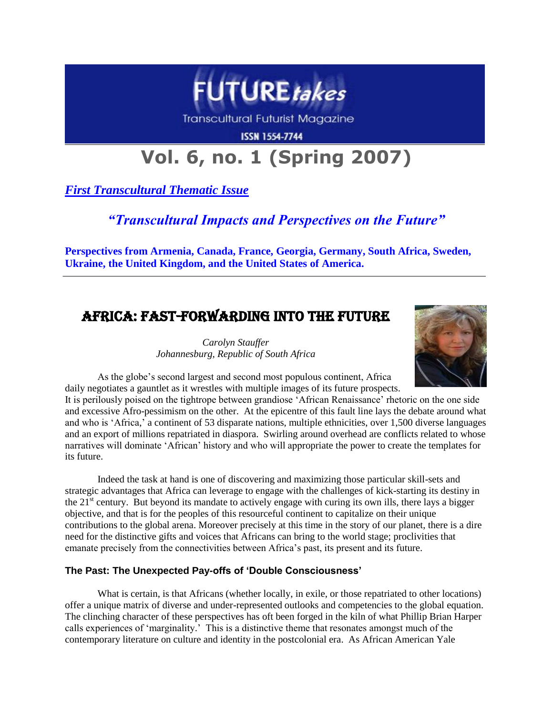

**Transcultural Futurist Magazine** 

**ISSN 1554-7744** 

# **Vol. 6, no. 1 (Spring 2007)**

*First Transcultural Thematic Issue*

## *"Transcultural Impacts and Perspectives on the Future"*

**Perspectives from Armenia, Canada, France, Georgia, Germany, South Africa, Sweden, Ukraine, the United Kingdom, and the United States of America.**

# Africa: Fast-Forwarding into the Future

*Carolyn Stauffer Johannesburg, Republic of South Africa*



As the globe's second largest and second most populous continent, Africa daily negotiates a gauntlet as it wrestles with multiple images of its future prospects.

It is perilously poised on the tightrope between grandiose 'African Renaissance' rhetoric on the one side and excessive Afro-pessimism on the other. At the epicentre of this fault line lays the debate around what and who is 'Africa,' a continent of 53 disparate nations, multiple ethnicities, over 1,500 diverse languages and an export of millions repatriated in diaspora. Swirling around overhead are conflicts related to whose narratives will dominate 'African' history and who will appropriate the power to create the templates for its future.

Indeed the task at hand is one of discovering and maximizing those particular skill-sets and strategic advantages that Africa can leverage to engage with the challenges of kick-starting its destiny in the  $21<sup>st</sup>$  century. But beyond its mandate to actively engage with curing its own ills, there lays a bigger objective, and that is for the peoples of this resourceful continent to capitalize on their unique contributions to the global arena. Moreover precisely at this time in the story of our planet, there is a dire need for the distinctive gifts and voices that Africans can bring to the world stage; proclivities that emanate precisely from the connectivities between Africa's past, its present and its future.

## **The Past: The Unexpected Pay-offs of 'Double Consciousness'**

What is certain, is that Africans (whether locally, in exile, or those repatriated to other locations) offer a unique matrix of diverse and under-represented outlooks and competencies to the global equation. The clinching character of these perspectives has oft been forged in the kiln of what Phillip Brian Harper calls experiences of 'marginality.' This is a distinctive theme that resonates amongst much of the contemporary literature on culture and identity in the postcolonial era. As African American Yale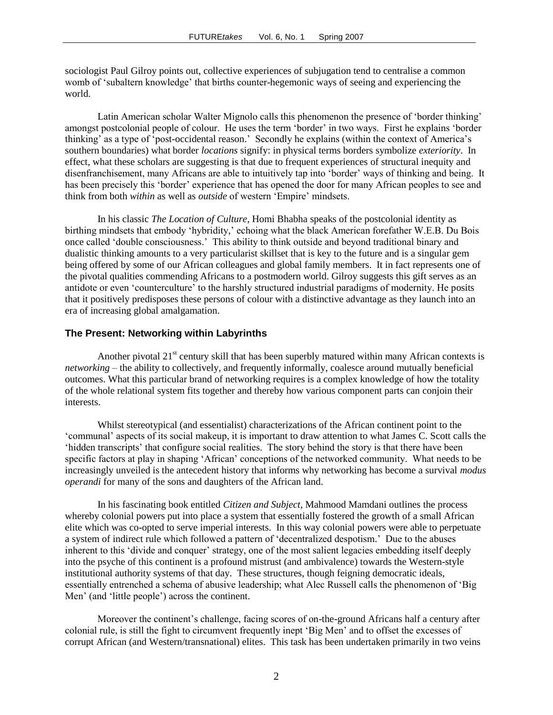sociologist Paul Gilroy points out, collective experiences of subjugation tend to centralise a common womb of 'subaltern knowledge' that births counter-hegemonic ways of seeing and experiencing the world.

Latin American scholar Walter Mignolo calls this phenomenon the presence of 'border thinking' amongst postcolonial people of colour. He uses the term 'border' in two ways. First he explains 'border thinking' as a type of 'post-occidental reason.' Secondly he explains (within the context of America's southern boundaries) what border *locations* signify: in physical terms borders symbolize *exteriority*. In effect, what these scholars are suggesting is that due to frequent experiences of structural inequity and disenfranchisement, many Africans are able to intuitively tap into 'border' ways of thinking and being. It has been precisely this 'border' experience that has opened the door for many African peoples to see and think from both *within* as well as *outside* of western 'Empire' mindsets.

In his classic *The Location of Culture*, Homi Bhabha speaks of the postcolonial identity as birthing mindsets that embody 'hybridity,' echoing what the black American forefather W.E.B. Du Bois once called 'double consciousness.' This ability to think outside and beyond traditional binary and dualistic thinking amounts to a very particularist skillset that is key to the future and is a singular gem being offered by some of our African colleagues and global family members. It in fact represents one of the pivotal qualities commending Africans to a postmodern world. Gilroy suggests this gift serves as an antidote or even 'counterculture' to the harshly structured industrial paradigms of modernity. He posits that it positively predisposes these persons of colour with a distinctive advantage as they launch into an era of increasing global amalgamation.

#### **The Present: Networking within Labyrinths**

Another pivotal  $21<sup>st</sup>$  century skill that has been superbly matured within many African contexts is *networking* – the ability to collectively, and frequently informally, coalesce around mutually beneficial outcomes. What this particular brand of networking requires is a complex knowledge of how the totality of the whole relational system fits together and thereby how various component parts can conjoin their interests.

Whilst stereotypical (and essentialist) characterizations of the African continent point to the 'communal' aspects of its social makeup, it is important to draw attention to what James C. Scott calls the 'hidden transcripts' that configure social realities. The story behind the story is that there have been specific factors at play in shaping 'African' conceptions of the networked community. What needs to be increasingly unveiled is the antecedent history that informs why networking has become a survival *modus operandi* for many of the sons and daughters of the African land.

In his fascinating book entitled *Citizen and Subject*, Mahmood Mamdani outlines the process whereby colonial powers put into place a system that essentially fostered the growth of a small African elite which was co-opted to serve imperial interests. In this way colonial powers were able to perpetuate a system of indirect rule which followed a pattern of 'decentralized despotism.' Due to the abuses inherent to this 'divide and conquer' strategy, one of the most salient legacies embedding itself deeply into the psyche of this continent is a profound mistrust (and ambivalence) towards the Western-style institutional authority systems of that day. These structures, though feigning democratic ideals, essentially entrenched a schema of abusive leadership; what Alec Russell calls the phenomenon of 'Big Men' (and 'little people') across the continent.

Moreover the continent's challenge, facing scores of on-the-ground Africans half a century after colonial rule, is still the fight to circumvent frequently inept 'Big Men' and to offset the excesses of corrupt African (and Western/transnational) elites. This task has been undertaken primarily in two veins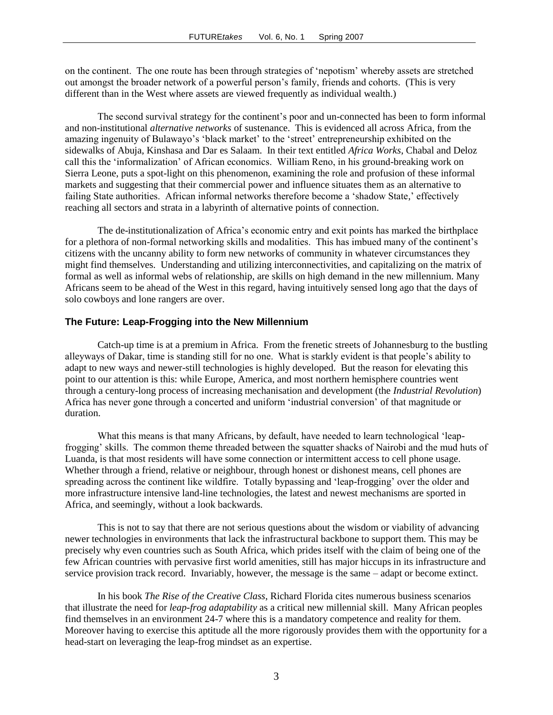on the continent. The one route has been through strategies of 'nepotism' whereby assets are stretched out amongst the broader network of a powerful person's family, friends and cohorts. (This is very different than in the West where assets are viewed frequently as individual wealth.)

The second survival strategy for the continent's poor and un-connected has been to form informal and non-institutional *alternative networks* of sustenance. This is evidenced all across Africa, from the amazing ingenuity of Bulawayo's 'black market' to the 'street' entrepreneurship exhibited on the sidewalks of Abuja, Kinshasa and Dar es Salaam. In their text entitled *Africa Works*, Chabal and Deloz call this the 'informalization' of African economics. William Reno, in his ground-breaking work on Sierra Leone, puts a spot-light on this phenomenon, examining the role and profusion of these informal markets and suggesting that their commercial power and influence situates them as an alternative to failing State authorities. African informal networks therefore become a 'shadow State,' effectively reaching all sectors and strata in a labyrinth of alternative points of connection.

The de-institutionalization of Africa's economic entry and exit points has marked the birthplace for a plethora of non-formal networking skills and modalities. This has imbued many of the continent's citizens with the uncanny ability to form new networks of community in whatever circumstances they might find themselves. Understanding and utilizing interconnectivities, and capitalizing on the matrix of formal as well as informal webs of relationship, are skills on high demand in the new millennium. Many Africans seem to be ahead of the West in this regard, having intuitively sensed long ago that the days of solo cowboys and lone rangers are over.

#### **The Future: Leap-Frogging into the New Millennium**

Catch-up time is at a premium in Africa. From the frenetic streets of Johannesburg to the bustling alleyways of Dakar, time is standing still for no one. What is starkly evident is that people's ability to adapt to new ways and newer-still technologies is highly developed. But the reason for elevating this point to our attention is this: while Europe, America, and most northern hemisphere countries went through a century-long process of increasing mechanisation and development (the *Industrial Revolution*) Africa has never gone through a concerted and uniform 'industrial conversion' of that magnitude or duration.

What this means is that many Africans, by default, have needed to learn technological 'leapfrogging' skills. The common theme threaded between the squatter shacks of Nairobi and the mud huts of Luanda, is that most residents will have some connection or intermittent access to cell phone usage. Whether through a friend, relative or neighbour, through honest or dishonest means, cell phones are spreading across the continent like wildfire. Totally bypassing and 'leap-frogging' over the older and more infrastructure intensive land-line technologies, the latest and newest mechanisms are sported in Africa, and seemingly, without a look backwards.

This is not to say that there are not serious questions about the wisdom or viability of advancing newer technologies in environments that lack the infrastructural backbone to support them. This may be precisely why even countries such as South Africa, which prides itself with the claim of being one of the few African countries with pervasive first world amenities, still has major hiccups in its infrastructure and service provision track record. Invariably, however, the message is the same – adapt or become extinct.

In his book *The Rise of the Creative Class*, Richard Florida cites numerous business scenarios that illustrate the need for *leap-frog adaptability* as a critical new millennial skill. Many African peoples find themselves in an environment 24-7 where this is a mandatory competence and reality for them. Moreover having to exercise this aptitude all the more rigorously provides them with the opportunity for a head-start on leveraging the leap-frog mindset as an expertise.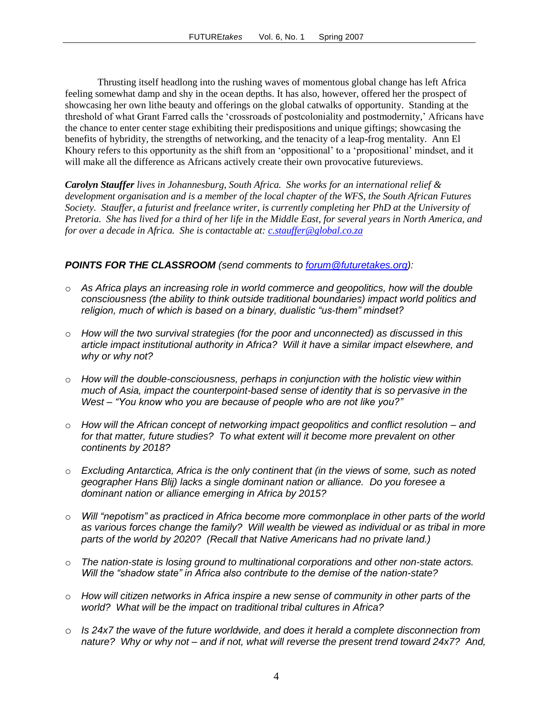Thrusting itself headlong into the rushing waves of momentous global change has left Africa feeling somewhat damp and shy in the ocean depths. It has also, however, offered her the prospect of showcasing her own lithe beauty and offerings on the global catwalks of opportunity. Standing at the threshold of what Grant Farred calls the 'crossroads of postcoloniality and postmodernity,' Africans have the chance to enter center stage exhibiting their predispositions and unique giftings; showcasing the benefits of hybridity, the strengths of networking, and the tenacity of a leap-frog mentality. Ann El Khoury refers to this opportunity as the shift from an 'oppositional' to a 'propositional' mindset, and it will make all the difference as Africans actively create their own provocative futureviews.

*Carolyn Stauffer lives in Johannesburg, South Africa. She works for an international relief & development organisation and is a member of the local chapter of the WFS, the South African Futures Society. Stauffer, a futurist and freelance writer, is currently completing her PhD at the University of Pretoria. She has lived for a third of her life in the Middle East, for several years in North America, and for over a decade in Africa. She is contactable at: [c.stauffer@global.co.za](mailto:c.stauffer@global.co.za)*

## *POINTS FOR THE CLASSROOM (send comments to [forum@futuretakes.org\)](mailto:forum@futuretakes.org):*

- o *As Africa plays an increasing role in world commerce and geopolitics, how will the double consciousness (the ability to think outside traditional boundaries) impact world politics and religion, much of which is based on a binary, dualistic "us-them" mindset?*
- o *How will the two survival strategies (for the poor and unconnected) as discussed in this article impact institutional authority in Africa? Will it have a similar impact elsewhere, and why or why not?*
- o *How will the double-consciousness, perhaps in conjunction with the holistic view within much of Asia, impact the counterpoint-based sense of identity that is so pervasive in the West – "You know who you are because of people who are not like you?"*
- o *How will the African concept of networking impact geopolitics and conflict resolution – and for that matter, future studies? To what extent will it become more prevalent on other continents by 2018?*
- o *Excluding Antarctica, Africa is the only continent that (in the views of some, such as noted geographer Hans Blij) lacks a single dominant nation or alliance. Do you foresee a dominant nation or alliance emerging in Africa by 2015?*
- o *Will "nepotism" as practiced in Africa become more commonplace in other parts of the world as various forces change the family? Will wealth be viewed as individual or as tribal in more parts of the world by 2020? (Recall that Native Americans had no private land.)*
- o *The nation-state is losing ground to multinational corporations and other non-state actors. Will the "shadow state" in Africa also contribute to the demise of the nation-state?*
- o *How will citizen networks in Africa inspire a new sense of community in other parts of the world? What will be the impact on traditional tribal cultures in Africa?*
- o *Is 24x7 the wave of the future worldwide, and does it herald a complete disconnection from nature? Why or why not – and if not, what will reverse the present trend toward 24x7? And,*